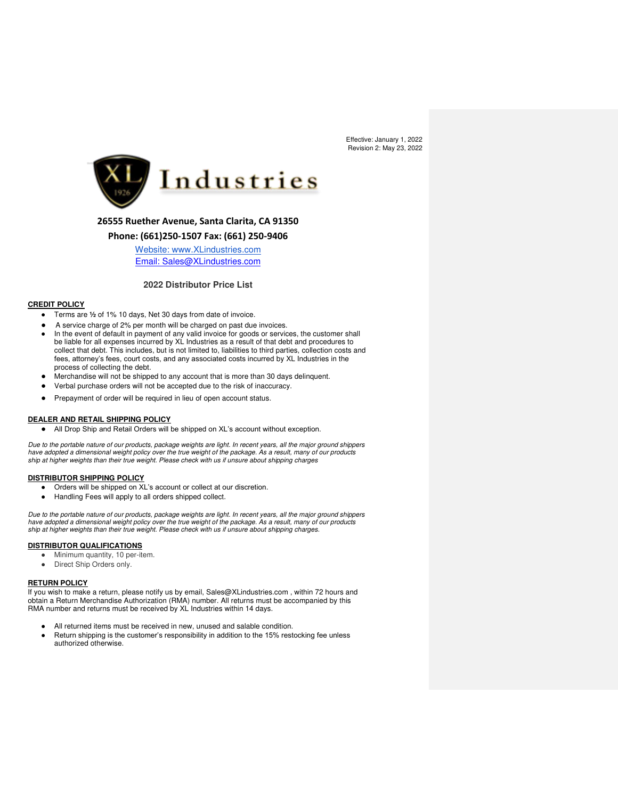

# **26555 Ruether Avenue, Santa Clarita, CA 91350**

# **Phone: (661)250-1507 Fax: (661) 250-9406**

[Website: www.XLindustries.com](http://www.xlindustries.com/) Email: Sales@XLindustries.com

## **2022 Distributor Price List**

# **CREDIT POLICY**

- Terms are **½** of 1% 10 days, Net 30 days from date of invoice.
- A service charge of 2% per month will be charged on past due invoices.
- In the event of default in payment of any valid invoice for goods or services, the customer shall be liable for all expenses incurred by XL Industries as a result of that debt and procedures to collect that debt. This includes, but is not limited to, liabilities to third parties, collection costs and fees, attorney's fees, court costs, and any associated costs incurred by XL Industries in the process of collecting the debt.
- Merchandise will not be shipped to any account that is more than 30 days delinquent.
- Verbal purchase orders will not be accepted due to the risk of inaccuracy.
- Prepayment of order will be required in lieu of open account status.

#### **DEALER AND RETAIL SHIPPING POLICY**

● All Drop Ship and Retail Orders will be shipped on XL's account without exception.

*Due to the portable nature of our products, package weights are light. In recent years, all the major ground shippers have adopted a dimensional weight policy over the true weight of the package. As a result, many of our products ship at higher weights than their true weight. Please check with us if unsure about shipping charges*

### **DISTRIBUTOR SHIPPING POLICY**

- Orders will be shipped on XL's account or collect at our discretion.
- Handling Fees will apply to all orders shipped collect.

*Due to the portable nature of our products, package weights are light. In recent years, all the major ground shippers have adopted a dimensional weight policy over the true weight of the package. As a result, many of our products ship at higher weights than their true weight. Please check with us if unsure about shipping charges.* 

### **DISTRIBUTOR QUALIFICATIONS**

- Minimum quantity, 10 per-item.
- Direct Ship Orders only.

## **RETURN POLICY**

If you wish to make a return, please notify us by email, Sales@XLindustries.com , within 72 hours and obtain a Return Merchandise Authorization (RMA) number. All returns must be accompanied by this RMA number and returns must be received by XL Industries within 14 days.

- All returned items must be received in new, unused and salable condition.
- Return shipping is the customer's responsibility in addition to the 15% restocking fee unless authorized otherwise.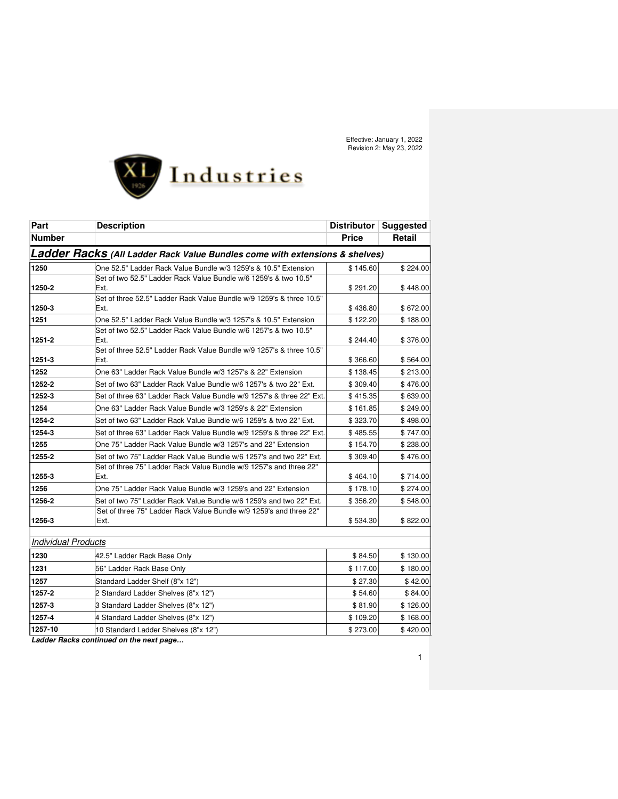

| Part                       | <b>Description</b>                                                           | Distributor  | <b>Suggested</b> |
|----------------------------|------------------------------------------------------------------------------|--------------|------------------|
| <b>Number</b>              |                                                                              | <b>Price</b> | <b>Retail</b>    |
|                            | Ladder Racks (All Ladder Rack Value Bundles come with extensions & shelves)  |              |                  |
| 1250                       | One 52.5" Ladder Rack Value Bundle w/3 1259's & 10.5" Extension              | \$145.60     | \$224.00         |
|                            | Set of two 52.5" Ladder Rack Value Bundle w/6 1259's & two 10.5"             |              |                  |
| 1250-2                     | Ext.                                                                         | \$291.20     | \$448.00         |
| 1250-3                     | Set of three 52.5" Ladder Rack Value Bundle w/9 1259's & three 10.5"<br>Ext. | \$436.80     | \$672.00         |
| 1251                       | One 52.5" Ladder Rack Value Bundle w/3 1257's & 10.5" Extension              | \$122.20     | \$188.00         |
| 1251-2                     | Set of two 52.5" Ladder Rack Value Bundle w/6 1257's & two 10.5"<br>Ext.     | \$244.40     | \$376.00         |
| 1251-3                     | Set of three 52.5" Ladder Rack Value Bundle w/9 1257's & three 10.5"<br>Ext. | \$366.60     | \$564.00         |
| 1252                       | One 63" Ladder Rack Value Bundle w/3 1257's & 22" Extension                  | \$138.45     | \$213.00         |
| 1252-2                     | Set of two 63" Ladder Rack Value Bundle w/6 1257's & two 22" Ext.            | \$309.40     | \$476.00         |
| 1252-3                     | Set of three 63" Ladder Rack Value Bundle w/9 1257's & three 22" Ext.        | \$415.35     | \$639.00         |
| 1254                       | One 63" Ladder Rack Value Bundle w/3 1259's & 22" Extension                  | \$161.85     | \$249.00         |
| 1254-2                     | Set of two 63" Ladder Rack Value Bundle w/6 1259's & two 22" Ext.            | \$323.70     | \$498.00         |
| 1254-3                     | Set of three 63" Ladder Rack Value Bundle w/9 1259's & three 22" Ext.        | \$485.55     | \$747.00         |
| 1255                       | One 75" Ladder Rack Value Bundle w/3 1257's and 22" Extension                | \$154.70     | \$238.00         |
| 1255-2                     | Set of two 75" Ladder Rack Value Bundle w/6 1257's and two 22" Ext.          | \$309.40     | \$476.00         |
| 1255-3                     | Set of three 75" Ladder Rack Value Bundle w/9 1257's and three 22"<br>Ext.   | \$464.10     | \$714.00         |
| 1256                       | One 75" Ladder Rack Value Bundle w/3 1259's and 22" Extension                | \$178.10     | \$274.00         |
| 1256-2                     | Set of two 75" Ladder Rack Value Bundle w/6 1259's and two 22" Ext.          | \$356.20     | \$548.00         |
| 1256-3                     | Set of three 75" Ladder Rack Value Bundle w/9 1259's and three 22"<br>Ext.   | \$534.30     | \$822.00         |
| <b>Individual Products</b> |                                                                              |              |                  |
| 1230                       | 42.5" Ladder Rack Base Only                                                  | \$84.50      | \$130.00         |
| 1231                       | 56" Ladder Rack Base Only                                                    | \$117.00     | \$180.00         |
| 1257                       | Standard Ladder Shelf (8"x 12")                                              | \$27.30      | \$42.00          |
| 1257-2                     | 2 Standard Ladder Shelves (8"x 12")                                          | \$54.60      | \$84.00          |
| 1257-3                     | 3 Standard Ladder Shelves (8"x 12")                                          | \$81.90      | \$126.00         |
| 1257-4                     | 4 Standard Ladder Shelves (8"x 12")                                          | \$109.20     | \$168.00         |
| 1257-10                    | 10 Standard Ladder Shelves (8"x 12")                                         | \$273.00     | \$420.00         |

**Ladder Racks continued on** *the next page…*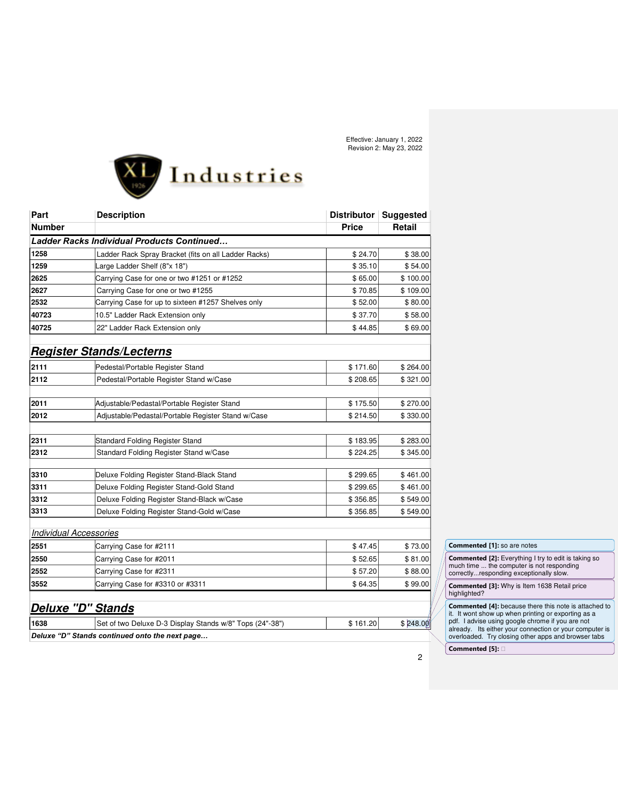

| Part                          | <b>Description</b>                                       |              | Distributor   Suggested |
|-------------------------------|----------------------------------------------------------|--------------|-------------------------|
| <b>Number</b>                 |                                                          | <b>Price</b> | Retail                  |
|                               | <b>Ladder Racks Individual Products Continued</b>        |              |                         |
| 1258                          | Ladder Rack Spray Bracket (fits on all Ladder Racks)     | \$24.70      | \$38.00                 |
| 1259                          | Large Ladder Shelf (8"x 18")                             | \$35.10      | \$54.00                 |
| 2625                          | Carrying Case for one or two #1251 or #1252              | \$65.00      | \$100.00                |
| 2627                          | Carrying Case for one or two #1255                       | \$70.85      | \$109.00                |
| 2532                          | Carrying Case for up to sixteen #1257 Shelves only       | \$52.00      | \$80.00                 |
| 40723                         | 10.5" Ladder Rack Extension only                         | \$37.70      | \$58.00                 |
| 40725                         | 22" Ladder Rack Extension only                           | \$44.85      | \$69.00                 |
|                               | <b>Register Stands/Lecterns</b>                          |              |                         |
| 2111                          | Pedestal/Portable Register Stand                         | \$171.60     | \$264.00                |
| 2112                          | Pedestal/Portable Register Stand w/Case                  | \$208.65     | \$321.00                |
|                               |                                                          |              |                         |
| 2011                          | Adjustable/Pedastal/Portable Register Stand              | \$175.50     | \$270.00                |
| 2012                          | Adjustable/Pedastal/Portable Register Stand w/Case       | \$214.50     | \$330.00                |
| 2311                          | Standard Folding Register Stand                          | \$183.95     | \$283.00                |
| 2312                          | Standard Folding Register Stand w/Case                   | \$224.25     | \$345.00                |
|                               |                                                          |              |                         |
| 3310                          | Deluxe Folding Register Stand-Black Stand                | \$299.65     | \$461.00                |
| 3311                          | Deluxe Folding Register Stand-Gold Stand                 | \$299.65     | \$461.00                |
| 3312                          | Deluxe Folding Register Stand-Black w/Case               | \$356.85     | \$549.00                |
| 3313                          | Deluxe Folding Register Stand-Gold w/Case                | \$356.85     | \$549.00                |
| <b>Individual Accessories</b> |                                                          |              |                         |
| 2551                          | Carrying Case for #2111                                  | \$47.45      | \$73.00                 |
| 2550                          | Carrying Case for #2011                                  | \$52.65      | \$81.00                 |
| 2552                          | Carrying Case for #2311                                  | \$57.20      | \$88.00                 |
| 3552                          | Carrying Case for #3310 or #3311                         | \$64.35      | \$99.00                 |
|                               | <b>Deluxe "D" Stands</b>                                 |              |                         |
| 1638                          | Set of two Deluxe D-3 Display Stands w/8" Tops (24"-38") | \$161.20     | \$248.00                |

*Deluxe "D" Stands continued onto the next page…*

# **Commented [1]:** so are notes

**Commented [2]:** Everything I try to edit is taking so much time ... the computer is not responding correctly...responding exceptionally slow.

**Commented [3]:** Why is Item 1638 Retail price highlighted?

**Commented [4]:** because there this note is attached to<br>it. It wont show up when printing or exporting as a<br>pdf. I advise using google chrome if you are not<br>already. Its either your connection or your computer is<br>overloade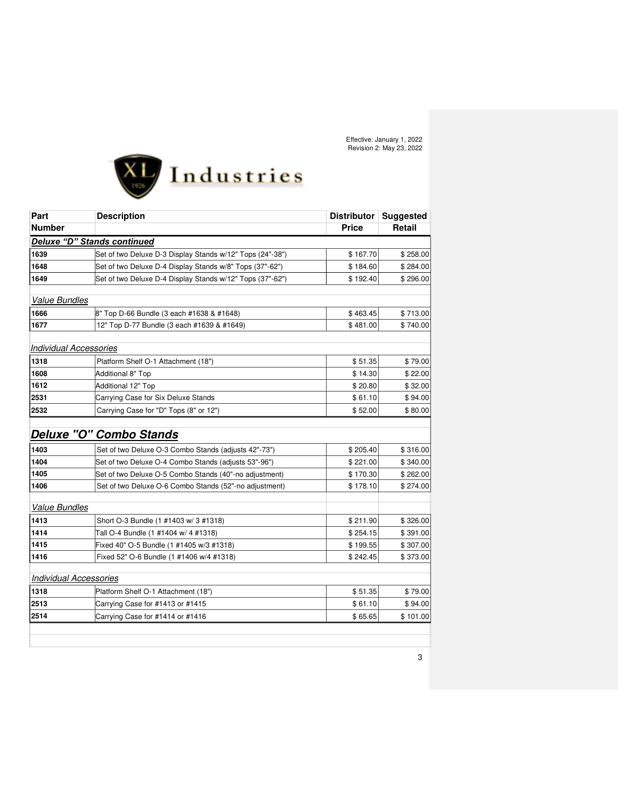

| Part                          | <b>Description</b>                                        | <b>Distributor</b> | <b>Suggested</b> |
|-------------------------------|-----------------------------------------------------------|--------------------|------------------|
| <b>Number</b>                 |                                                           | <b>Price</b>       | Retail           |
|                               | <b>Deluxe "D" Stands continued</b>                        |                    |                  |
| 1639                          | Set of two Deluxe D-3 Display Stands w/12" Tops (24"-38") | \$167.70           | \$258.00         |
| 1648                          | Set of two Deluxe D-4 Display Stands w/8" Tops (37"-62")  | \$184.60           | \$284.00         |
| 1649                          | Set of two Deluxe D-4 Display Stands w/12" Tops (37"-62") | \$192.40           | \$296.00         |
|                               |                                                           |                    |                  |
| <b>Value Bundles</b>          |                                                           |                    |                  |
| 1666                          | 8" Top D-66 Bundle (3 each #1638 & #1648)                 | \$463.45           | \$713.00         |
| 1677                          | 12" Top D-77 Bundle (3 each #1639 & #1649)                | \$481.00           | \$740.00         |
| <b>Individual Accessories</b> |                                                           |                    |                  |
| 1318                          | Platform Shelf O-1 Attachment (18")                       | \$51.35            | \$79.00          |
| 1608                          | Additional 8" Top                                         | \$14.30            | \$22.00          |
| 1612                          | Additional 12" Top                                        | \$20.80            | \$32.00          |
| 2531                          | Carrying Case for Six Deluxe Stands                       | \$61.10            | \$94.00          |
| 2532                          | Carrying Case for "D" Tops (8" or 12")                    | \$52.00            | \$80.00          |
|                               |                                                           |                    |                  |
|                               | <b>Deluxe "O" Combo Stands</b>                            |                    |                  |
| 1403                          | Set of two Deluxe O-3 Combo Stands (adjusts 42"-73")      | \$205.40           | \$316.00         |
| 1404                          | Set of two Deluxe O-4 Combo Stands (adjusts 53"-96")      | \$221.00           | \$340.00         |
| 1405                          | Set of two Deluxe O-5 Combo Stands (40"-no adjustment)    | \$170.30           | \$262.00         |
| 1406                          | Set of two Deluxe O-6 Combo Stands (52"-no adjustment)    | \$178.10           | \$274.00         |
| <b>Value Bundles</b>          |                                                           |                    |                  |
|                               |                                                           |                    |                  |
| 1413                          | Short O-3 Bundle (1 #1403 w/ 3 #1318)                     | \$211.90           | \$326.00         |
| 1414                          | Tall O-4 Bundle (1 #1404 w/ 4 #1318)                      | \$254.15           | \$391.00         |
| 1415                          | Fixed 40" O-5 Bundle (1 #1405 w/3 #1318)                  | \$199.55           | \$307.00         |
| 1416                          | Fixed 52" O-6 Bundle (1 #1406 w/4 #1318)                  | \$242.45           | \$373.00         |
| <b>Individual Accessories</b> |                                                           |                    |                  |
| 1318                          | Platform Shelf O-1 Attachment (18")                       | \$51.35            | \$79.00          |
| 2513                          | Carrying Case for #1413 or #1415                          | \$61.10            | \$94.00          |
| 2514                          | Carrying Case for #1414 or #1416                          | \$65.65            | \$101.00         |
|                               |                                                           |                    |                  |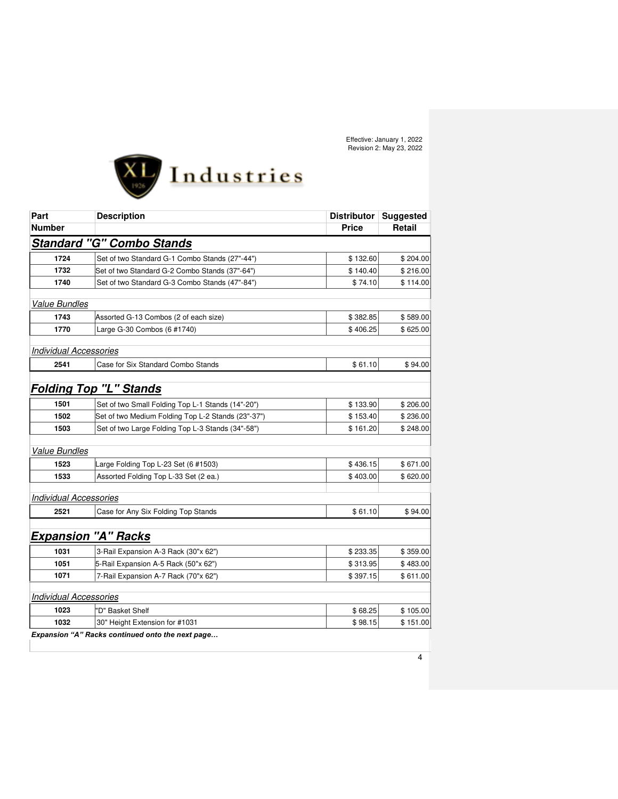

| Part                          | <b>Description</b>                                 | Distributor  | <b>Suggested</b> |
|-------------------------------|----------------------------------------------------|--------------|------------------|
| <b>Number</b>                 |                                                    | <b>Price</b> | Retail           |
|                               | <b>Standard "G" Combo Stands</b>                   |              |                  |
| 1724                          | Set of two Standard G-1 Combo Stands (27"-44")     | \$132.60     | \$204.00         |
| 1732                          | Set of two Standard G-2 Combo Stands (37"-64")     | \$140.40     | \$216.00         |
| 1740                          | Set of two Standard G-3 Combo Stands (47"-84")     | \$74.10      | \$114.00         |
| <b>Value Bundles</b>          |                                                    |              |                  |
| 1743                          | Assorted G-13 Combos (2 of each size)              | \$382.85     | \$589.00         |
| 1770                          | Large G-30 Combos (6 #1740)                        | \$406.25     | \$625.00         |
| <b>Individual Accessories</b> |                                                    |              |                  |
| 2541                          | Case for Six Standard Combo Stands                 | \$61.10      | \$94.00          |
|                               |                                                    |              |                  |
|                               | <b>Folding Top "L" Stands</b>                      |              |                  |
| 1501                          | Set of two Small Folding Top L-1 Stands (14"-20")  | \$133.90     | \$206.00         |
| 1502                          | Set of two Medium Folding Top L-2 Stands (23"-37") | \$153.40     | \$236.00         |
| 1503                          | Set of two Large Folding Top L-3 Stands (34"-58")  | \$161.20     | \$248.00         |
| <b>Value Bundles</b>          |                                                    |              |                  |
| 1523                          | Large Folding Top L-23 Set (6 #1503)               | \$436.15     | \$671.00         |
| 1533                          | Assorted Folding Top L-33 Set (2 ea.)              | \$403.00     | \$620.00         |
| <b>Individual Accessories</b> |                                                    |              |                  |
| 2521                          | Case for Any Six Folding Top Stands                | \$61.10      | \$94.00          |
|                               |                                                    |              |                  |
|                               | <b>Expansion "A" Racks</b>                         |              |                  |
| 1031                          | 3-Rail Expansion A-3 Rack (30"x 62")               | \$233.35     | \$359.00         |
| 1051                          | 5-Rail Expansion A-5 Rack (50"x 62")               | \$313.95     | \$483.00         |
| 1071                          | 7-Rail Expansion A-7 Rack (70"x 62")               | \$397.15     | \$611.00         |
| <b>Individual Accessories</b> |                                                    |              |                  |
| 1023                          | 'D" Basket Shelf                                   | \$68.25      | \$105.00         |
| 1032                          | 30" Height Extension for #1031                     | \$98.15      | \$151.00         |
|                               | Expansion "A" Racks continued onto the next page   |              |                  |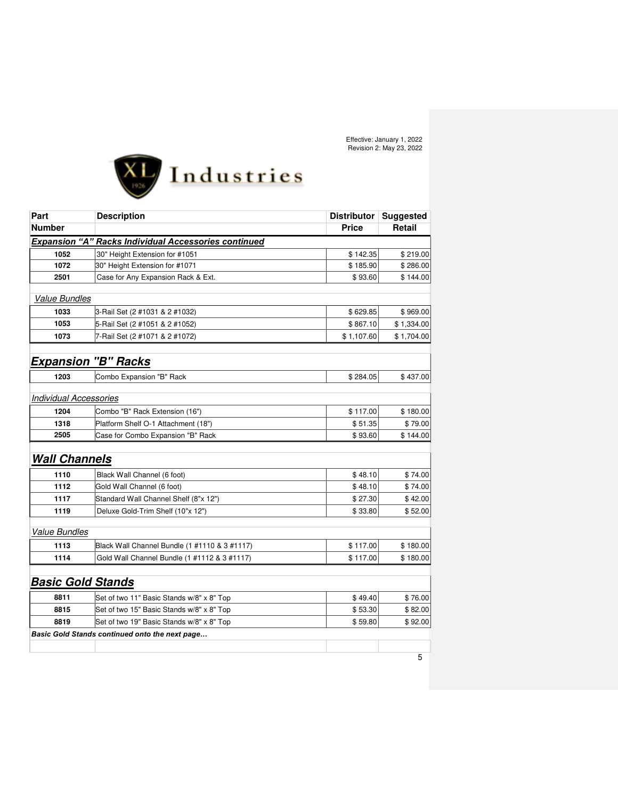

| Part                          | <b>Description</b>                                          | <b>Distributor</b> | <b>Suggested</b> |
|-------------------------------|-------------------------------------------------------------|--------------------|------------------|
| <b>Number</b>                 |                                                             | <b>Price</b>       | Retail           |
|                               | <b>Expansion "A" Racks Individual Accessories continued</b> |                    |                  |
| 1052                          | 30" Height Extension for #1051                              | \$142.35           | \$219.00         |
| 1072                          | 30" Height Extension for #1071                              | \$185.90           | \$286.00         |
| 2501                          | Case for Any Expansion Rack & Ext.                          | \$93.60            | \$144.00         |
| <b>Value Bundles</b>          |                                                             |                    |                  |
| 1033                          | 3-Rail Set (2 #1031 & 2 #1032)                              | \$629.85           | \$969.00         |
| 1053                          | 5-Rail Set (2 #1051 & 2 #1052)                              | \$867.10           | \$1,334.00       |
| 1073                          | 7-Rail Set (2 #1071 & 2 #1072)                              | \$1,107.60         | \$1,704.00       |
|                               | <b>Expansion "B" Racks</b>                                  |                    |                  |
| 1203                          | Combo Expansion "B" Rack                                    | \$284.05           | \$437.00         |
| <b>Individual Accessories</b> |                                                             |                    |                  |
| 1204                          | Combo "B" Rack Extension (16")                              | \$117.00           | \$180.00         |
| 1318                          | Platform Shelf O-1 Attachment (18")                         | \$51.35            | \$79.00          |
| 2505                          | Case for Combo Expansion "B" Rack                           | \$93.60            | \$144.00         |
| <b>Wall Channels</b>          |                                                             |                    |                  |
| 1110                          | Black Wall Channel (6 foot)                                 | \$48.10            | \$74.00          |
| 1112                          | Gold Wall Channel (6 foot)                                  | \$48.10            | \$74.00          |
| 1117                          | Standard Wall Channel Shelf (8"x 12")                       | \$27.30            | \$42.00          |
| 1119                          | Deluxe Gold-Trim Shelf (10"x 12")                           | \$33.80            | \$52.00          |
| <b>Value Bundles</b>          |                                                             |                    |                  |
| 1113                          | Black Wall Channel Bundle (1 #1110 & 3 #1117)               | \$117.00           | \$180.00         |
| 1114                          | Gold Wall Channel Bundle (1 #1112 & 3 #1117)                | \$117.00           | \$180.00         |
| <b>Basic Gold Stands</b>      |                                                             |                    |                  |
| 8811                          | Set of two 11" Basic Stands w/8" x 8" Top                   | \$49.40            | \$76.00          |
| 8815                          | Set of two 15" Basic Stands w/8" x 8" Top                   | \$53.30            | \$82.00          |
| 8819                          | Set of two 19" Basic Stands w/8" x 8" Top                   | \$59.80            | \$92.00          |
|                               | <b>Basic Gold Stands continued onto the next page</b>       |                    |                  |
|                               |                                                             |                    |                  |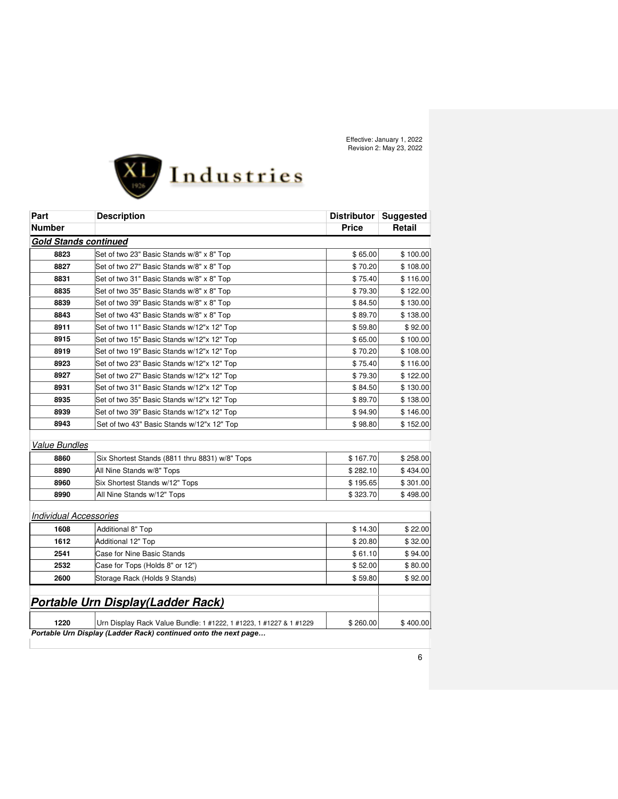

| <b>Number</b><br><b>Gold Stands continued</b><br>8823<br>8827 | Set of two 23" Basic Stands w/8" x 8" Top                          | <b>Price</b> | Retail   |
|---------------------------------------------------------------|--------------------------------------------------------------------|--------------|----------|
|                                                               |                                                                    |              |          |
|                                                               |                                                                    |              |          |
|                                                               |                                                                    | \$65.00      | \$100.00 |
|                                                               | Set of two 27" Basic Stands w/8" x 8" Top                          | \$70.20      | \$108.00 |
| 8831                                                          | Set of two 31" Basic Stands w/8" x 8" Top                          | \$75.40      | \$116.00 |
| 8835                                                          | Set of two 35" Basic Stands w/8" x 8" Top                          | \$79.30      | \$122.00 |
| 8839                                                          | Set of two 39" Basic Stands w/8" x 8" Top                          | \$84.50      | \$130.00 |
| 8843                                                          | Set of two 43" Basic Stands w/8" x 8" Top                          | \$89.70      | \$138.00 |
| 8911                                                          | Set of two 11" Basic Stands w/12"x 12" Top                         | \$59.80      | \$92.00  |
| 8915                                                          | Set of two 15" Basic Stands w/12"x 12" Top                         | \$65.00      | \$100.00 |
| 8919                                                          | Set of two 19" Basic Stands w/12"x 12" Top                         | \$70.20      | \$108.00 |
| 8923                                                          | Set of two 23" Basic Stands w/12"x 12" Top                         | \$75.40      | \$116.00 |
| 8927                                                          | Set of two 27" Basic Stands w/12"x 12" Top                         | \$79.30      | \$122.00 |
| 8931                                                          | Set of two 31" Basic Stands w/12"x 12" Top                         | \$84.50      | \$130.00 |
| 8935                                                          | Set of two 35" Basic Stands w/12"x 12" Top                         | \$89.70      | \$138.00 |
| 8939                                                          | Set of two 39" Basic Stands w/12"x 12" Top                         | \$94.90      | \$146.00 |
| 8943                                                          | Set of two 43" Basic Stands w/12"x 12" Top                         | \$98.80      | \$152.00 |
| <b>Value Bundles</b>                                          |                                                                    |              |          |
| 8860                                                          | Six Shortest Stands (8811 thru 8831) w/8" Tops                     | \$167.70     | \$258.00 |
| 8890                                                          | All Nine Stands w/8" Tops                                          | \$282.10     | \$434.00 |
| 8960                                                          | Six Shortest Stands w/12" Tops                                     | \$195.65     | \$301.00 |
| 8990                                                          | All Nine Stands w/12" Tops                                         | \$323.70     | \$498.00 |
|                                                               |                                                                    |              |          |
| <b>Individual Accessories</b>                                 |                                                                    |              |          |
| 1608                                                          | Additional 8" Top                                                  | \$14.30      | \$22.00  |
| 1612                                                          | <b>Additional 12" Top</b>                                          | \$20.80      | \$32.00  |
| 2541                                                          | <b>Case for Nine Basic Stands</b>                                  | \$61.10      | \$94.00  |
| 2532                                                          | Case for Tops (Holds 8" or 12")                                    | \$52.00      | \$80.00  |
| 2600                                                          | Storage Rack (Holds 9 Stands)                                      | \$59.80      | \$92.00  |
|                                                               | <b>Portable Urn Display(Ladder Rack)</b>                           |              |          |
| 1220                                                          | Urn Display Rack Value Bundle: 1 #1222, 1 #1223, 1 #1227 & 1 #1229 | \$260.00     | \$400.00 |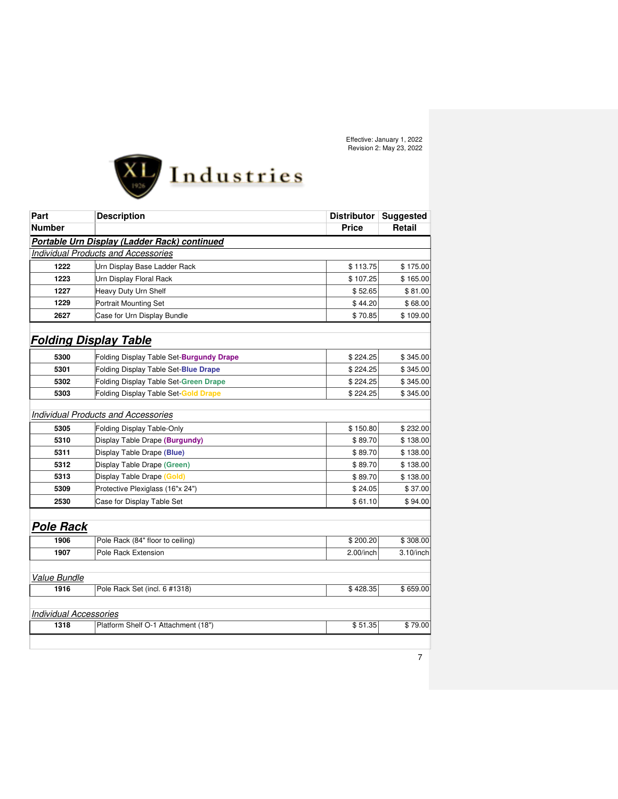

| Part                          | <b>Description</b>                           | <b>Distributor</b> | <b>Suggested</b> |
|-------------------------------|----------------------------------------------|--------------------|------------------|
| <b>Number</b>                 |                                              | <b>Price</b>       | <b>Retail</b>    |
|                               | Portable Urn Display (Ladder Rack) continued |                    |                  |
|                               | <b>Individual Products and Accessories</b>   |                    |                  |
| 1222                          | Urn Display Base Ladder Rack                 | \$113.75           | \$175.00         |
| 1223                          | Urn Display Floral Rack                      | \$107.25           | \$165.00         |
| 1227                          | Heavy Duty Urn Shelf                         | \$52.65            | \$81.00          |
| 1229                          | Portrait Mounting Set                        | \$44.20            | \$68.00          |
| 2627                          | Case for Urn Display Bundle                  | \$70.85            | \$109.00         |
| <b>Folding Display Table</b>  |                                              |                    |                  |
| 5300                          | Folding Display Table Set-Burgundy Drape     | \$224.25           | \$345.00         |
| 5301                          | Folding Display Table Set-Blue Drape         | \$224.25           | \$345.00         |
| 5302                          | <b>Folding Display Table Set-Green Drape</b> | \$224.25           | \$345.00         |
| 5303                          | Folding Display Table Set Gold Drape         | \$224.25           | \$345.00         |
|                               | <b>Individual Products and Accessories</b>   |                    |                  |
| 5305                          | Folding Display Table-Only                   | \$150.80           | \$232.00         |
| 5310                          | Display Table Drape (Burgundy)               | \$89.70            | \$138.00         |
| 5311                          | Display Table Drape (Blue)                   | \$89.70            | \$138.00         |
| 5312                          | Display Table Drape (Green)                  | \$89.70            | \$138.00         |
| 5313                          | Display Table Drape (Gold)                   | \$89.70            | \$138.00         |
| 5309                          | Protective Plexiglass (16"x 24")             | \$24.05            | \$37.00          |
| 2530                          | Case for Display Table Set                   | \$61.10            | \$94.00          |
| <b>Pole Rack</b>              |                                              |                    |                  |
| 1906                          | Pole Rack (84" floor to ceiling)             | \$200.20           | \$308.00         |
| 1907                          | Pole Rack Extension                          | 2.00/inch          | $3.10$ /inch     |
| Value Bundle                  |                                              |                    |                  |
| 1916                          | Pole Rack Set (incl. 6 #1318)                | \$428.35           | \$659.00         |
| <b>Individual Accessories</b> |                                              |                    |                  |
| 1318                          | Platform Shelf O-1 Attachment (18")          | \$51.35            | \$79.00          |
|                               |                                              |                    |                  |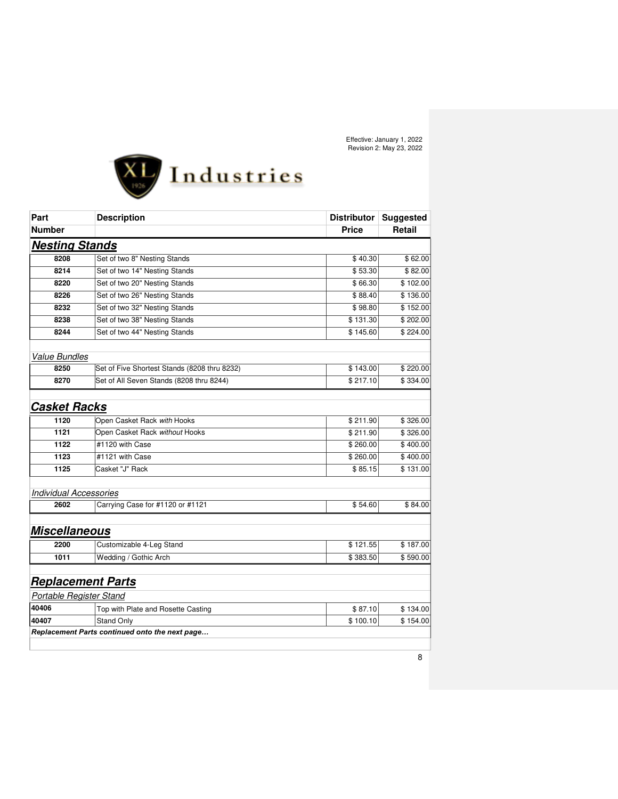

| Part                           | <b>Description</b>                             | <b>Distributor</b> | <b>Suggested</b> |
|--------------------------------|------------------------------------------------|--------------------|------------------|
| <b>Number</b>                  |                                                | <b>Price</b>       | <b>Retail</b>    |
| <b>Nesting Stands</b>          |                                                |                    |                  |
| 8208                           | Set of two 8" Nesting Stands                   | \$40.30            | \$62.00          |
| 8214                           | Set of two 14" Nesting Stands                  | \$53.30            | \$82.00          |
| 8220                           | Set of two 20" Nesting Stands                  | \$66.30            | \$102.00         |
| 8226                           | Set of two 26" Nesting Stands                  | \$88.40            | \$136.00         |
| 8232                           | Set of two 32" Nesting Stands                  | \$98.80            | \$152.00         |
| 8238                           | Set of two 38" Nesting Stands                  | \$131.30           | \$202.00         |
| 8244                           | Set of two 44" Nesting Stands                  | \$145.60           | \$224.00         |
| <b>Value Bundles</b>           |                                                |                    |                  |
| 8250                           | Set of Five Shortest Stands (8208 thru 8232)   | \$143.00           | \$220.00         |
| 8270                           | Set of All Seven Stands (8208 thru 8244)       | \$217.10           | \$334.00         |
| <b>Casket Racks</b>            |                                                |                    |                  |
| 1120                           | Open Casket Rack with Hooks                    | \$211.90           | \$326.00         |
| 1121                           | Open Casket Rack without Hooks                 | \$211.90           | \$326.00         |
| 1122                           | #1120 with Case                                | \$260.00           | \$400.00         |
| 1123                           | #1121 with Case                                | \$260.00           | \$400.00         |
| 1125                           | Casket "J" Rack                                | \$85.15            | \$131.00         |
| <b>Individual Accessories</b>  |                                                |                    |                  |
| 2602                           | Carrying Case for #1120 or #1121               | \$54.60            | \$84.00          |
| <b>Miscellaneous</b>           |                                                |                    |                  |
| 2200                           | Customizable 4-Leg Stand                       | \$121.55           | \$187.00         |
| 1011                           | Wedding / Gothic Arch                          | \$383.50           | \$590.00         |
| <b>Replacement Parts</b>       |                                                |                    |                  |
| <b>Portable Register Stand</b> |                                                |                    |                  |
| 40406                          | Top with Plate and Rosette Casting             | \$87.10            | \$134.00         |
| 40407                          | <b>Stand Only</b>                              | \$100.10           | \$154.00         |
|                                | Replacement Parts continued onto the next page |                    |                  |